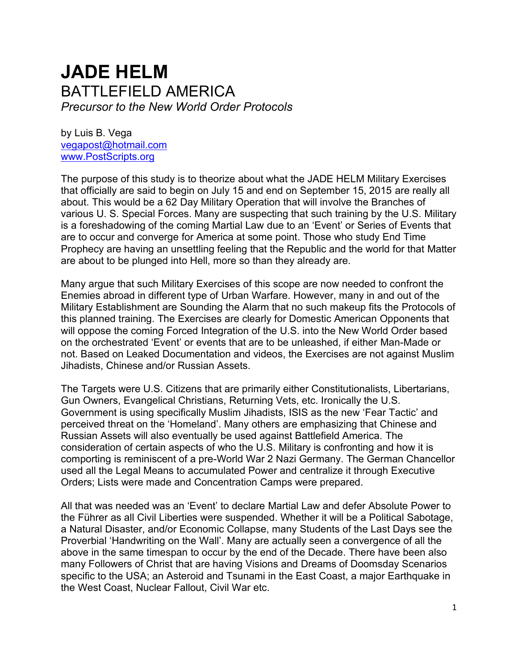# **JADE HELM** BATTLEFIELD AMERICA *Precursor to the New World Order Protocols*

by Luis B. Vega [vegapost@hotmail.com](mailto:vegapost@hotmail.com) [www.PostScripts.org](http://www.postscripts.org/)

The purpose of this study is to theorize about what the JADE HELM Military Exercises that officially are said to begin on July 15 and end on September 15, 2015 are really all about. This would be a 62 Day Military Operation that will involve the Branches of various U. S. Special Forces. Many are suspecting that such training by the U.S. Military is a foreshadowing of the coming Martial Law due to an 'Event' or Series of Events that are to occur and converge for America at some point. Those who study End Time Prophecy are having an unsettling feeling that the Republic and the world for that Matter are about to be plunged into Hell, more so than they already are.

Many argue that such Military Exercises of this scope are now needed to confront the Enemies abroad in different type of Urban Warfare. However, many in and out of the Military Establishment are Sounding the Alarm that no such makeup fits the Protocols of this planned training. The Exercises are clearly for Domestic American Opponents that will oppose the coming Forced Integration of the U.S. into the New World Order based on the orchestrated 'Event' or events that are to be unleashed, if either Man-Made or not. Based on Leaked Documentation and videos, the Exercises are not against Muslim Jihadists, Chinese and/or Russian Assets.

The Targets were U.S. Citizens that are primarily either Constitutionalists, Libertarians, Gun Owners, Evangelical Christians, Returning Vets, etc. Ironically the U.S. Government is using specifically Muslim Jihadists, ISIS as the new 'Fear Tactic' and perceived threat on the 'Homeland'. Many others are emphasizing that Chinese and Russian Assets will also eventually be used against Battlefield America. The consideration of certain aspects of who the U.S. Military is confronting and how it is comporting is reminiscent of a pre-World War 2 Nazi Germany. The German Chancellor used all the Legal Means to accumulated Power and centralize it through Executive Orders; Lists were made and Concentration Camps were prepared.

All that was needed was an 'Event' to declare Martial Law and defer Absolute Power to the Führer as all Civil Liberties were suspended. Whether it will be a Political Sabotage, a Natural Disaster, and/or Economic Collapse, many Students of the Last Days see the Proverbial 'Handwriting on the Wall'. Many are actually seen a convergence of all the above in the same timespan to occur by the end of the Decade. There have been also many Followers of Christ that are having Visions and Dreams of Doomsday Scenarios specific to the USA; an Asteroid and Tsunami in the East Coast, a major Earthquake in the West Coast, Nuclear Fallout, Civil War etc.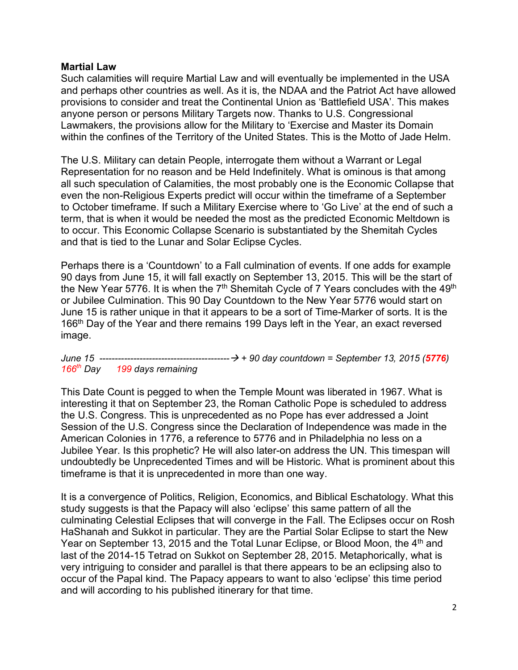## **Martial Law**

Such calamities will require Martial Law and will eventually be implemented in the USA and perhaps other countries as well. As it is, the NDAA and the Patriot Act have allowed provisions to consider and treat the Continental Union as 'Battlefield USA'. This makes anyone person or persons Military Targets now. Thanks to U.S. Congressional Lawmakers, the provisions allow for the Military to 'Exercise and Master its Domain within the confines of the Territory of the United States. This is the Motto of Jade Helm.

The U.S. Military can detain People, interrogate them without a Warrant or Legal Representation for no reason and be Held Indefinitely. What is ominous is that among all such speculation of Calamities, the most probably one is the Economic Collapse that even the non-Religious Experts predict will occur within the timeframe of a September to October timeframe. If such a Military Exercise where to 'Go Live' at the end of such a term, that is when it would be needed the most as the predicted Economic Meltdown is to occur. This Economic Collapse Scenario is substantiated by the Shemitah Cycles and that is tied to the Lunar and Solar Eclipse Cycles.

Perhaps there is a 'Countdown' to a Fall culmination of events. If one adds for example 90 days from June 15, it will fall exactly on September 13, 2015. This will be the start of the New Year 5776. It is when the 7<sup>th</sup> Shemitah Cycle of 7 Years concludes with the 49<sup>th</sup> or Jubilee Culmination. This 90 Day Countdown to the New Year 5776 would start on June 15 is rather unique in that it appears to be a sort of Time-Marker of sorts. It is the 166<sup>th</sup> Day of the Year and there remains 199 Days left in the Year, an exact reversed image.

*June 15 ------------------------------------------*→ *+ 90 day countdown = September 13, 2015 (5776) 166th Day 199 days remaining*

This Date Count is pegged to when the Temple Mount was liberated in 1967. What is interesting it that on September 23, the Roman Catholic Pope is scheduled to address the U.S. Congress. This is unprecedented as no Pope has ever addressed a Joint Session of the U.S. Congress since the Declaration of Independence was made in the American Colonies in 1776, a reference to 5776 and in Philadelphia no less on a Jubilee Year. Is this prophetic? He will also later-on address the UN. This timespan will undoubtedly be Unprecedented Times and will be Historic. What is prominent about this timeframe is that it is unprecedented in more than one way.

It is a convergence of Politics, Religion, Economics, and Biblical Eschatology. What this study suggests is that the Papacy will also 'eclipse' this same pattern of all the culminating Celestial Eclipses that will converge in the Fall. The Eclipses occur on Rosh HaShanah and Sukkot in particular. They are the Partial Solar Eclipse to start the New Year on September 13, 2015 and the Total Lunar Eclipse, or Blood Moon, the 4<sup>th</sup> and last of the 2014-15 Tetrad on Sukkot on September 28, 2015. Metaphorically, what is very intriguing to consider and parallel is that there appears to be an eclipsing also to occur of the Papal kind. The Papacy appears to want to also 'eclipse' this time period and will according to his published itinerary for that time.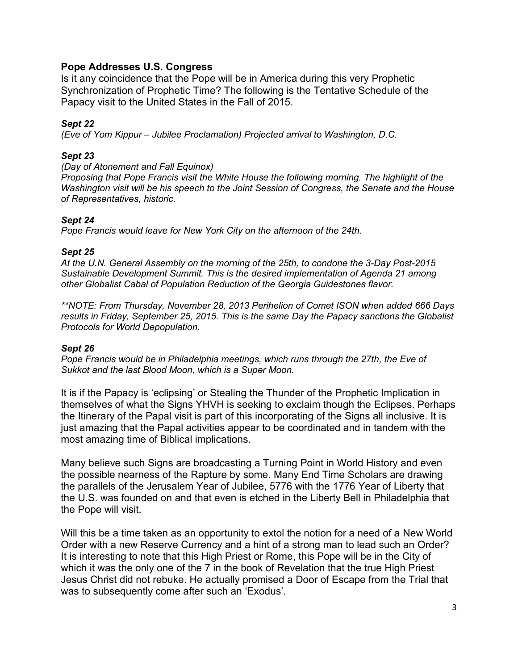## **Pope Addresses U.S. Congress**

Is it any coincidence that the Pope will be in America during this very Prophetic Synchronization of Prophetic Time? The following is the Tentative Schedule of the Papacy visit to the United States in the Fall of 2015.

### *Sept 22*

*(Eve of Yom Kippur – Jubilee Proclamation) Projected arrival to Washington, D.C.* 

#### *Sept 23*

*(Day of Atonement and Fall Equinox)*

*Proposing that Pope Francis visit the White House the following morning. The highlight of the Washington visit will be his speech to the Joint Session of Congress, the Senate and the House of Representatives, historic.*

#### *Sept 24*

*Pope Francis would leave for New York City on the afternoon of the 24th.* 

#### *Sept 25*

*At the U.N. General Assembly on the morning of the 25th, to condone the 3-Day Post-2015 Sustainable Development Summit. This is the desired implementation of Agenda 21 among other Globalist Cabal of Population Reduction of the Georgia Guidestones flavor.*

*\*\*NOTE: From Thursday, November 28, 2013 Perihelion of Comet ISON when added 666 Days results in Friday, September 25, 2015. This is the same Day the Papacy sanctions the Globalist Protocols for World Depopulation.*

#### *Sept 26*

*Pope Francis would be in Philadelphia meetings, which runs through the 27th, the Eve of Sukkot and the last Blood Moon, which is a Super Moon.*

It is if the Papacy is 'eclipsing' or Stealing the Thunder of the Prophetic Implication in themselves of what the Signs YHVH is seeking to exclaim though the Eclipses. Perhaps the Itinerary of the Papal visit is part of this incorporating of the Signs all inclusive. It is just amazing that the Papal activities appear to be coordinated and in tandem with the most amazing time of Biblical implications.

Many believe such Signs are broadcasting a Turning Point in World History and even the possible nearness of the Rapture by some. Many End Time Scholars are drawing the parallels of the Jerusalem Year of Jubilee, 5776 with the 1776 Year of Liberty that the U.S. was founded on and that even is etched in the Liberty Bell in Philadelphia that the Pope will visit.

Will this be a time taken as an opportunity to extol the notion for a need of a New World Order with a new Reserve Currency and a hint of a strong man to lead such an Order? It is interesting to note that this High Priest or Rome, this Pope will be in the City of which it was the only one of the 7 in the book of Revelation that the true High Priest Jesus Christ did not rebuke. He actually promised a Door of Escape from the Trial that was to subsequently come after such an 'Exodus'.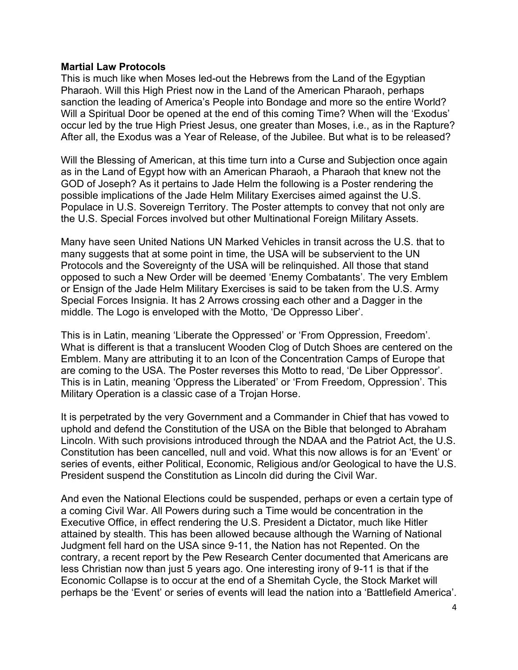#### **Martial Law Protocols**

This is much like when Moses led-out the Hebrews from the Land of the Egyptian Pharaoh. Will this High Priest now in the Land of the American Pharaoh, perhaps sanction the leading of America's People into Bondage and more so the entire World? Will a Spiritual Door be opened at the end of this coming Time? When will the 'Exodus' occur led by the true High Priest Jesus, one greater than Moses, i.e., as in the Rapture? After all, the Exodus was a Year of Release, of the Jubilee. But what is to be released?

Will the Blessing of American, at this time turn into a Curse and Subjection once again as in the Land of Egypt how with an American Pharaoh, a Pharaoh that knew not the GOD of Joseph? As it pertains to Jade Helm the following is a Poster rendering the possible implications of the Jade Helm Military Exercises aimed against the U.S. Populace in U.S. Sovereign Territory. The Poster attempts to convey that not only are the U.S. Special Forces involved but other Multinational Foreign Military Assets.

Many have seen United Nations UN Marked Vehicles in transit across the U.S. that to many suggests that at some point in time, the USA will be subservient to the UN Protocols and the Sovereignty of the USA will be relinquished. All those that stand opposed to such a New Order will be deemed 'Enemy Combatants'. The very Emblem or Ensign of the Jade Helm Military Exercises is said to be taken from the U.S. Army Special Forces Insignia. It has 2 Arrows crossing each other and a Dagger in the middle. The Logo is enveloped with the Motto, 'De Oppresso Liber'.

This is in Latin, meaning 'Liberate the Oppressed' or 'From Oppression, Freedom'. What is different is that a translucent Wooden Clog of Dutch Shoes are centered on the Emblem. Many are attributing it to an Icon of the Concentration Camps of Europe that are coming to the USA. The Poster reverses this Motto to read, 'De Liber Oppressor'. This is in Latin, meaning 'Oppress the Liberated' or 'From Freedom, Oppression'. This Military Operation is a classic case of a Trojan Horse.

It is perpetrated by the very Government and a Commander in Chief that has vowed to uphold and defend the Constitution of the USA on the Bible that belonged to Abraham Lincoln. With such provisions introduced through the NDAA and the Patriot Act, the U.S. Constitution has been cancelled, null and void. What this now allows is for an 'Event' or series of events, either Political, Economic, Religious and/or Geological to have the U.S. President suspend the Constitution as Lincoln did during the Civil War.

And even the National Elections could be suspended, perhaps or even a certain type of a coming Civil War. All Powers during such a Time would be concentration in the Executive Office, in effect rendering the U.S. President a Dictator, much like Hitler attained by stealth. This has been allowed because although the Warning of National Judgment fell hard on the USA since 9-11, the Nation has not Repented. On the contrary, a recent report by the Pew Research Center documented that Americans are less Christian now than just 5 years ago. One interesting irony of 9-11 is that if the Economic Collapse is to occur at the end of a Shemitah Cycle, the Stock Market will perhaps be the 'Event' or series of events will lead the nation into a 'Battlefield America'.